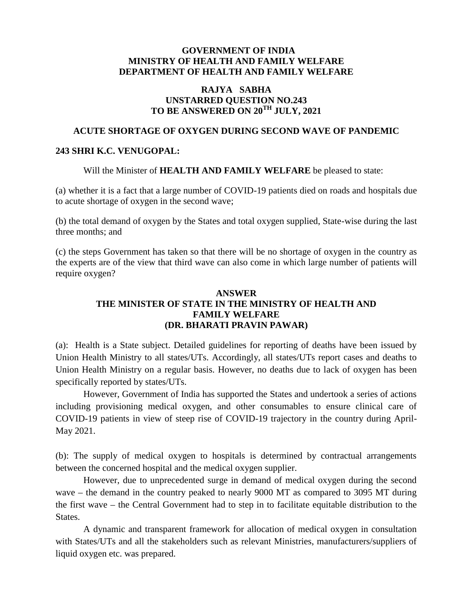#### **GOVERNMENT OF INDIA MINISTRY OF HEALTH AND FAMILY WELFARE DEPARTMENT OF HEALTH AND FAMILY WELFARE**

### **RAJYA SABHA UNSTARRED QUESTION NO.243 TO BE ANSWERED ON 20TH JULY, 2021**

# **ACUTE SHORTAGE OF OXYGEN DURING SECOND WAVE OF PANDEMIC**

#### **243 SHRI K.C. VENUGOPAL:**

Will the Minister of **HEALTH AND FAMILY WELFARE** be pleased to state:

(a) whether it is a fact that a large number of COVID-19 patients died on roads and hospitals due to acute shortage of oxygen in the second wave

(b) the total demand of oxygen by the States and total oxygen supplied, State-wise during the last three months; and

(c) the steps Government has taken so that there will be no shortage of oxygen in the country as the experts are of the view that third wave can also come in which large number of patients will require oxygen?

## **ANSWER THE MINISTER OF STATE IN THE MINISTRY OF HEALTH AND FAMILY WELFARE (DR. BHARATI PRAVIN PAWAR)**

(a): Health is a State subject. Detailed guidelines for reporting of deaths have been issued by Union Health Ministry to all states/UTs. Accordingly, all states/UTs report cases and deaths to Union Health Ministry on a regular basis. However, no deaths due to lack of oxygen has been specifically reported by states/UTs.

However, Government of India has supported the States and undertook a series of actions including provisioning medical oxygen, and other consumables to ensure clinical care of COVID-19 patients in view of steep rise of COVID-19 trajectory in the country during April- May 2021.

(b): The supply of medical oxygen to hospitals is determined by contractual arrangements between the concerned hospital and the medical oxygen supplier.

However, due to unprecedented surge in demand of medical oxygen during the second wave – the demand in the country peaked to nearly 9000 MT as compared to 3095 MT during the first wave – the Central Government had to step in to facilitate equitable distribution to the States.

A dynamic and transparent framework for allocation of medical oxygen in consultation with States/UTs and all the stakeholders such as relevant Ministries, manufacturers/suppliers of liquid oxygen etc. was prepared.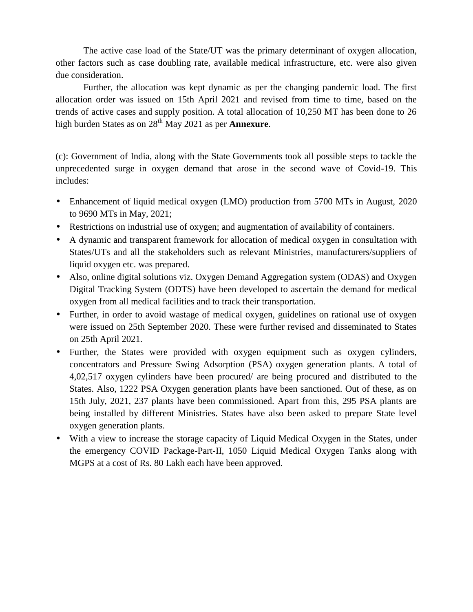The active case load of the State/UT was the primary determinant of oxygen allocation, other factors such as case doubling rate, available medical infrastructure, etc. were also given due consideration.

Further, the allocation was kept dynamic as per the changing pandemic load. The first allocation order was issued on 15th April 2021 and revised from time to time, based on the trends of active cases and supply position. A total allocation of 10,250 MT has been done to 26 high burden States as on 28<sup>th</sup> May 2021 as per **Annexure**.

(c): Government of India, along with the State Governments took all possible steps to tackle the unprecedented surge in oxygen demand that arose in the second wave of Covid-19. This includes:

- Enhancement of liquid medical oxygen (LMO) production from 5700 MTs in August, 2020 to 9690 MTs in May, 2021;
- Restrictions on industrial use of oxygen; and augmentation of availability of containers.
- A dynamic and transparent framework for allocation of medical oxygen in consultation with States/UTs and all the stakeholders such as relevant Ministries, manufacturers/suppliers of liquid oxygen etc. was prepared.
- Also, online digital solutions viz. Oxygen Demand Aggregation system (ODAS) and Oxygen Digital Tracking System (ODTS) have been developed to ascertain the demand for medical oxygen from all medical facilities and to track their transportation.
- Further, in order to avoid wastage of medical oxygen, guidelines on rational use of oxygen were issued on 25th September 2020. These were further revised and disseminated to States on 25th April 2021.
- Further, the States were provided with oxygen equipment such as oxygen cylinders, concentrators and Pressure Swing Adsorption (PSA) oxygen generation plants. A total of 4,02,517 oxygen cylinders have been procured/ are being procured and distributed to the States. Also, 1222 PSA Oxygen generation plants have been sanctioned. Out of these, as on 15th July, 2021, 237 plants have been commissioned. Apart from this, 295 PSA plants are being installed by different Ministries. States have also been asked to prepare State level oxygen generation plants.
- With a view to increase the storage capacity of Liquid Medical Oxygen in the States, under the emergency COVID Package-Part-II, 1050 Liquid Medical Oxygen Tanks along with MGPS at a cost of Rs. 80 Lakh each have been approved.